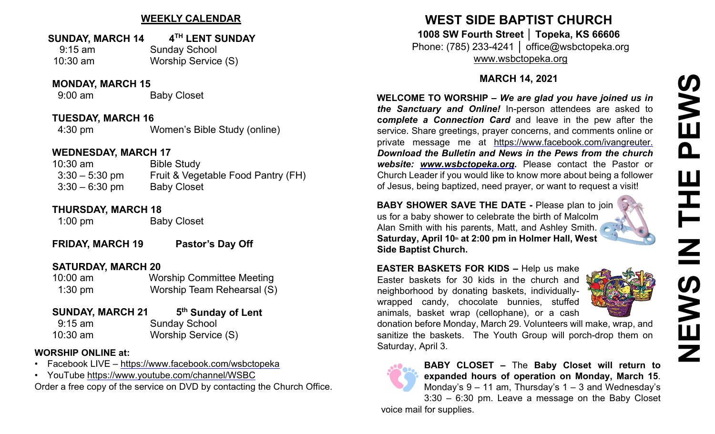### **WEEKLY CALENDAR**

### **SUNDAY, MARCH 14 4TH LENT SUNDAY**

9:15 am Sunday School 10:30 am Worship Service (S)

**MONDAY, MARCH 15**

9:00 am Baby Closet

**TUESDAY, MARCH 16** 4:30 pm Women's Bible Study (online)

### **WEDNESDAY, MARCH 17**

10:30 am Bible Study 3:30 – 5:30 pm Fruit & Vegetable Food Pantry (FH) 3:30 – 6:30 pm Baby Closet

### **THURSDAY, MARCH 18**

1:00 pm Baby Closet

FRIDAY, MARCH 19 Pastor's Day Off

### **SATURDAY, MARCH 20**

| $10:00$ am | <b>Worship Committee Meeting</b> |
|------------|----------------------------------|
| $1:30$ pm  | Worship Team Rehearsal (S)       |

## **SUNDAY, MARCH 21 5th Sunday of Lent**

9:15 am Sunday School 10:30 am Worship Service (S)

#### **WORSHIP ONLINE at:**

- Facebook LIVE [–](https://www.facebook.com/wsbctopeka) <https://www.facebook.com/wsbctopeka>
- YouTub[e](https://www.youtube.com/channel/WSBC) <https://www.youtube.com/channel/WSBC>

Order a free copy of the service on DVD by contacting the Church Office.

# **WEST SIDE BAPTIST CHURCH 1008 SW Fourth Street │ Topeka, KS 66606**

Phone: (785) 233-4241 │ office@wsbctopeka.org [www.wsbctopeka.org](http://www.wsbctopeka.org/)

### **MARCH 14, 2021**

**WELCOME TO WORSHIP –** *We are glad you have joined us in the Sanctuary and Online!* In-person attendees are asked to **c***omplete a Connection Card* and leave in the pew after the service. Share greetings, prayer concerns, and comments online or private message me at <https://www.facebook.com/ivangreuter.> *Download the Bulletin and News in the Pews from the church website: [www.wsbctopeka.org.](http://www.wsbctopeka.org/)* Please contact the Pastor or Church Leader if you would like to know more about being a follower of Jesus, being baptized, need prayer, or want to request a visit!

**BABY SHOWER SAVE THE DATE -** Please plan to join us for a baby shower to celebrate the birth of Malcolm Alan Smith with his parents, Matt, and Ashley Smith. **Saturday, April 10th at 2:00 pm in Holmer Hall, West Side Baptist Church.** 

**EASTER BASKETS FOR KIDS –** Help us make Easter baskets for 30 kids in the church and neighborhood by donating baskets, individuallywrapped candy, chocolate bunnies, stuffed animals, basket wrap (cellophane), or a cash



donation before Monday, March 29. Volunteers will make, wrap, and sanitize the baskets. The Youth Group will porch-drop them on Saturday, April 3.



**BABY CLOSET –** The **Baby Closet will return to expanded hours of operation on Monday, March 15**. Monday's  $9 - 11$  am, Thursday's  $1 - 3$  and Wednesday's 3:30 – 6:30 pm. Leave a message on the Baby Closet v[oice ma](https://lillian888.wordpress.com/2019/04/12/atozchallenge-k-is-for-kids/)il for supplies.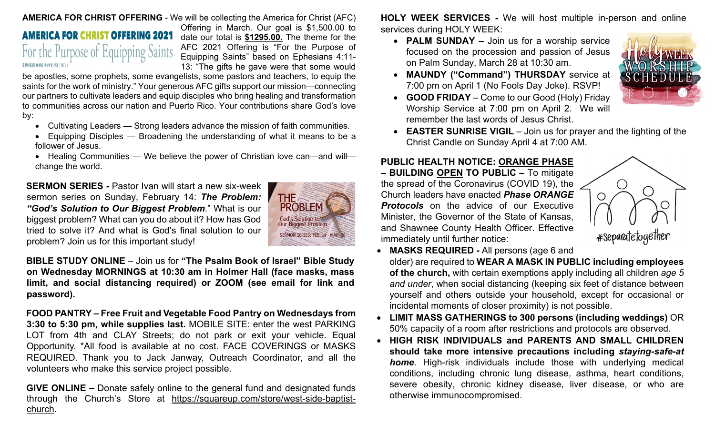### **AMERICA FOR CHRIST OFFERING** - We will be collecting the America for Christ (AFC)

# **AMERICA FOR CHRIST OFFERING 2021** For the Purpose of Equipping Saints **EPHESIANS 4:11-13 (NIV)**

Offering in March. Our goal is \$1,500.00 to date our total is **\$1295.00.** The theme for the AFC 2021 Offering is "For the Purpose of Equipping Saints" based on Ephesians 4:11- 13: "The gifts he gave were that some would

be apostles, some prophets, some evangelists, some pastors and teachers, to equip the saints for the work of ministry." Your generous AFC gifts support our mission—connecting our partners to cultivate leaders and equip disciples who bring healing and transformation to communities across our nation and Puerto Rico. Your contributions share God's love by:

- Cultivating Leaders Strong leaders advance the mission of faith communities.
- Equipping Disciples Broadening the understanding of what it means to be a follower of Jesus.
- Healing Communities We believe the power of Christian love can—and will change the world.

**SERMON SERIES -** Pastor Ivan will start a new six-week sermon series on Sunday, February 14: *The Problem: "God's Solution to Our Biggest Problem*." What is our biggest problem? What can you do about it? How has God tried to solve it? And what is God's final solution to our problem? Join us for this important study!



**BIBLE STUDY ONLINE** – Join us for **"The Psalm Book of Israel" Bible Study on Wednesday MORNINGS at 10:30 am in Holmer Hall (face masks, mass limit, and social distancing required) or ZOOM (see email for link and password).** 

**FOOD PANTRY – Free Fruit and Vegetable Food Pantry on Wednesdays from 3:30 to 5:30 pm, while supplies last.** MOBILE SITE: enter the west PARKING LOT from 4th and CLAY Streets; do not park or exit your vehicle. Equal Opportunity. \*All food is available at no cost. FACE COVERINGS or MASKS REQUIRED. Thank you to Jack Janway, Outreach Coordinator, and all the volunteers who make this service project possible.

**GIVE ONLINE –** Donate safely online to the general fund and designated funds through the Church's Store at [https://squareup.com/store/west-side-baptist](https://squareup.com/store/west-side-baptist-church)[church.](https://squareup.com/store/west-side-baptist-church)

**HOLY WEEK SERVICES -** We will host multiple in-person and online services during HOLY WEEK:

• **PALM SUNDAY –** Join us for a worship service focused on the procession and passion of Jesus on Palm Sunday, March 28 at 10:30 am.



- **MAUNDY ("Command") THURSDAY** service at 7:00 pm on April 1 (No Fools Day Joke). RSVP!
- **GOOD FRIDAY**  Come to our Good (Holy) Friday Worship Service at 7:00 pm on April 2. We will remember the last words of Jesus Christ.
- **EASTER SUNRISE VIGIL** Join us for prayer and the lighting of the Christ Candle on Sunday April 4 at 7:00 AM.

# **PUBLIC HEALTH NOTICE: ORANGE PHASE**

**– BUILDING OPEN TO PUBLIC –** To mitigate the spread of the Coronavirus (COVID 19), the Church leaders have enacted *Phase ORANGE Protocols* on the advice of our Executive Minister, the Governor of the State of Kansas, and Shawnee County Health Officer. Effective immediately until further notice:



• **MASKS REQUIRED -** All persons (age 6 and

older) are required to **WEAR A MASK IN PUBLIC including employees of the church,** with certain exemptions apply including all children *age 5 and under*, when social distancing (keeping six feet of distance between yourself and others outside your household, except for occasional or incidental moments of closer proximity) is not possible.

- **LIMIT MASS GATHERINGS to 300 persons (including weddings)** OR 50% capacity of a room after restrictions and protocols are observed.
- **HIGH RISK INDIVIDUALS and PARENTS AND SMALL CHILDREN should take more intensive precautions including** *staying-safe-at home*. High-risk individuals include those with underlying medical conditions, including chronic lung disease, asthma, heart conditions, severe obesity, chronic kidney disease, liver disease, or who are otherwise immunocompromised.